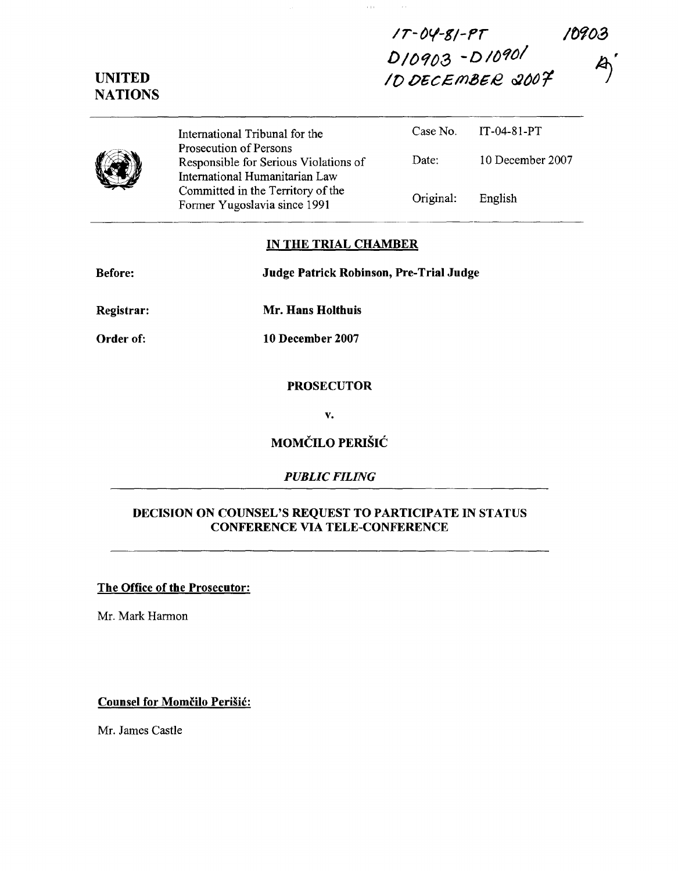*/r-ov-si-rr* 10903 D/0903-D/0901 *If)* 06C,£m.a612 *Q}/){}'f*

UNITED **NATIONS** 

> International Tribunal for the Prosecution of Persons Responsible for Serious Violations of International Humanitarian Law Committed in the Territory of the Fonner Yugoslavia since 1991 Case No. Date: Original: IT-04-81-PT 10 December 2007 English

 $\alpha$  is  $\beta$ 

### IN THE TRIAL CHAMBER

| <b>Before:</b> | Judge Patrick Robinson, Pre-Trial Judge |  |
|----------------|-----------------------------------------|--|
|                |                                         |  |
|                |                                         |  |

Registrar: Mr. Hans Holthuis

Order of:

10 December 2007

#### PROSECUTOR

v.

## MOMČILO PERIŠIĆ

### *PUBLIC FILING*

### DECISION ON COUNSEL'S REQUEST TO PARTICIPATE IN STATUS CONFERENCE VIA TELE-CONFERENCE

The Office of the Prosecutor:

Mr. Mark Harmon

Counsel for Momčilo Perišić:

Mr. James Castle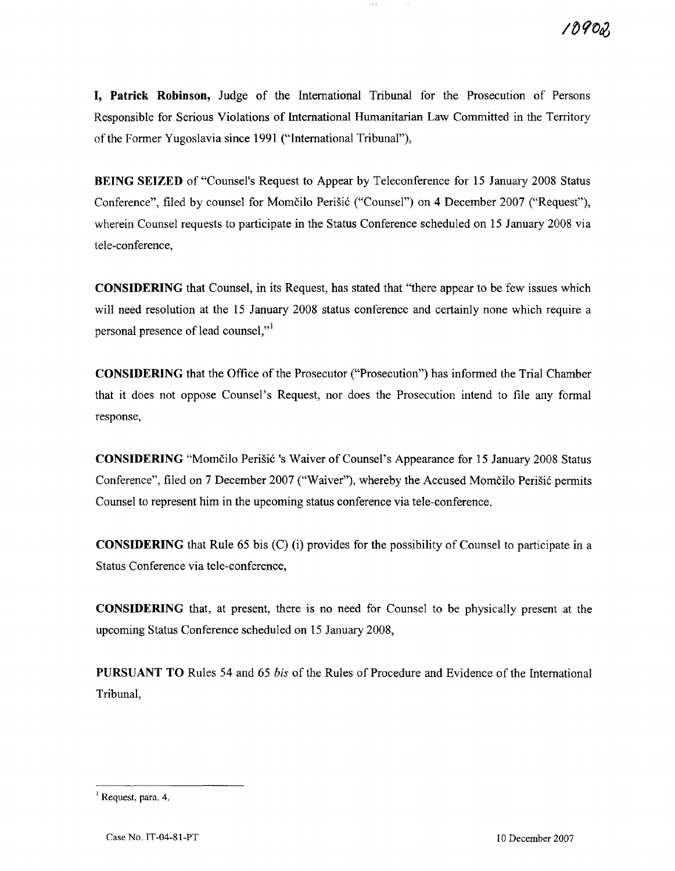**I, Patrick Robinson,** Judge of the International Tribunal for the Prosecution of Persons Responsible for Serious Violations of International Humanitarian Law Committed in the Territory of the Former Yugoslavia since 1991 ("International Tribunal"),

 $\epsilon$  ) (

**BEING SEIZED** of "Counsel's Request to Appear by Teleconference for 15 January 2008 Status Conference", filed by counsel for Momcilo Perisic ("Counsel") on 4 December 2007 ("Request"), wherein Counsel requests to participate in the Status Conference scheduled on 15 January 2008 via tele-conference,

**CONSIDERING** that Counsel, in its Request, has stated that "there appear to be few issues which will need resolution at the 15 January 2008 status conference and certainly none which require a personal presence of lead counsel,"<sup>1</sup>

**CONSIDERING** that the Office of the Prosecutor ("Prosecution") has informed the Trial Chamber that it does not oppose Counsel's Request, nor does the Prosecution intend to file any formal response,

**CONSIDERING** "Momčilo Perišić 's Waiver of Counsel's Appearance for 15 January 2008 Status Conference", filed on 7 December 2007 ("Waiver"), whereby the Accused Momcilo Perisic permits Counsel to represent him in the upcoming status conference via tele-conference,

**CONSIDERING** that Rule 65 bis (C) (i) provides for the possibility of Counsel to participate in a Status Conference via tele-conference,

**CONSIDERING** that, at present, there is no need for Counsel to be physically present at the upcoming Status Conference scheduled on 15 January 2008,

**PURSUANT TO** Rules 54 and 65 *bis* of the Rules of Procedure and Evidence of the International Tribunal,

 $<sup>1</sup>$  Request, para. 4.</sup>